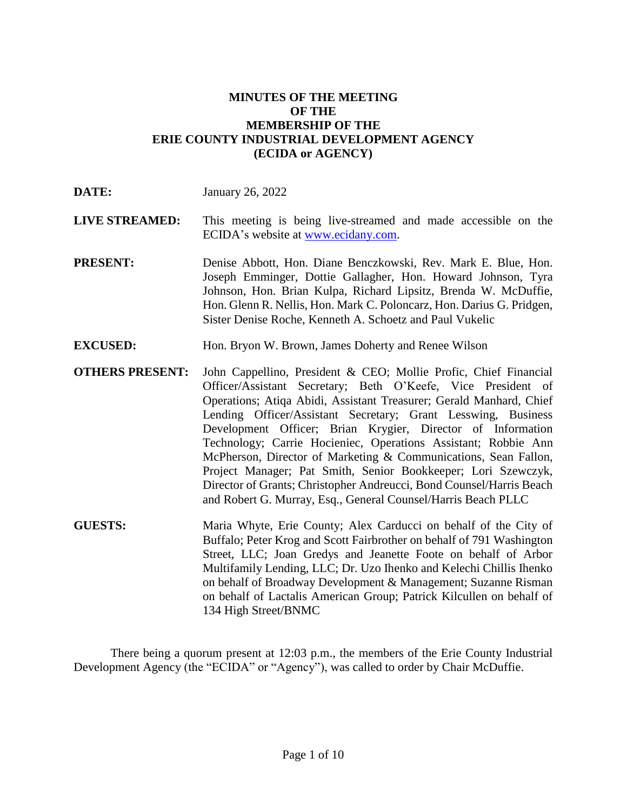### **MINUTES OF THE MEETING OF THE MEMBERSHIP OF THE ERIE COUNTY INDUSTRIAL DEVELOPMENT AGENCY (ECIDA or AGENCY)**

| <b>LIVE STREAMED:</b> |                                     |  | This meeting is being live-streamed and made accessible on the |  |  |  |  |
|-----------------------|-------------------------------------|--|----------------------------------------------------------------|--|--|--|--|
|                       | ECIDA's website at www.ecidany.com. |  |                                                                |  |  |  |  |

**DATE:** January 26, 2022

- **PRESENT:** Denise Abbott, Hon. Diane Benczkowski, Rev. Mark E. Blue, Hon. Joseph Emminger, Dottie Gallagher, Hon. Howard Johnson, Tyra Johnson, Hon. Brian Kulpa, Richard Lipsitz, Brenda W. McDuffie, Hon. Glenn R. Nellis, Hon. Mark C. Poloncarz, Hon. Darius G. Pridgen, Sister Denise Roche, Kenneth A. Schoetz and Paul Vukelic
- **EXCUSED:** Hon. Bryon W. Brown, James Doherty and Renee Wilson
- **OTHERS PRESENT:** John Cappellino, President & CEO; Mollie Profic, Chief Financial Officer/Assistant Secretary; Beth O'Keefe, Vice President of Operations; Atiqa Abidi, Assistant Treasurer; Gerald Manhard, Chief Lending Officer/Assistant Secretary; Grant Lesswing, Business Development Officer; Brian Krygier, Director of Information Technology; Carrie Hocieniec, Operations Assistant; Robbie Ann McPherson, Director of Marketing & Communications, Sean Fallon, Project Manager; Pat Smith, Senior Bookkeeper; Lori Szewczyk, Director of Grants; Christopher Andreucci, Bond Counsel/Harris Beach and Robert G. Murray, Esq., General Counsel/Harris Beach PLLC
- **GUESTS:** Maria Whyte, Erie County; Alex Carducci on behalf of the City of Buffalo; Peter Krog and Scott Fairbrother on behalf of 791 Washington Street, LLC; Joan Gredys and Jeanette Foote on behalf of Arbor Multifamily Lending, LLC; Dr. Uzo Ihenko and Kelechi Chillis Ihenko on behalf of Broadway Development & Management; Suzanne Risman on behalf of Lactalis American Group; Patrick Kilcullen on behalf of 134 High Street/BNMC

There being a quorum present at 12:03 p.m., the members of the Erie County Industrial Development Agency (the "ECIDA" or "Agency"), was called to order by Chair McDuffie.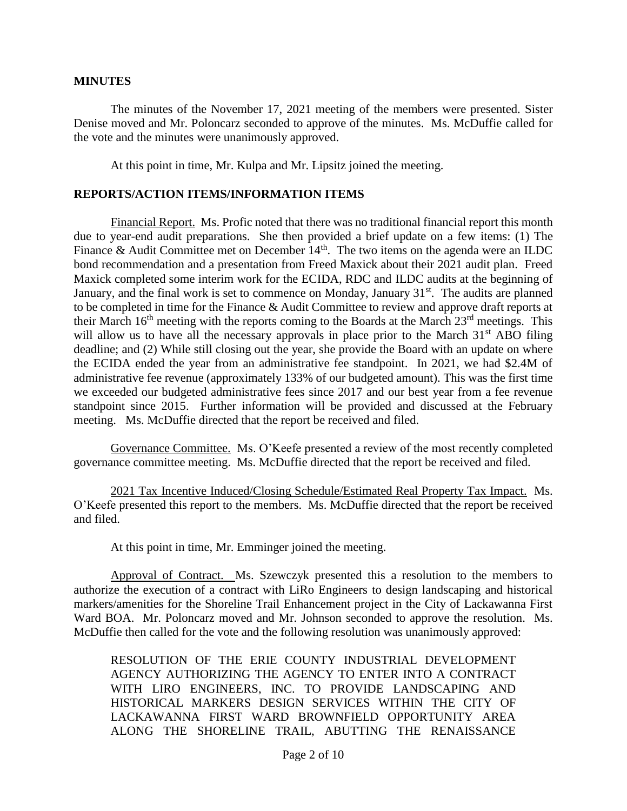#### **MINUTES**

The minutes of the November 17, 2021 meeting of the members were presented. Sister Denise moved and Mr. Poloncarz seconded to approve of the minutes. Ms. McDuffie called for the vote and the minutes were unanimously approved.

At this point in time, Mr. Kulpa and Mr. Lipsitz joined the meeting.

#### **REPORTS/ACTION ITEMS/INFORMATION ITEMS**

Financial Report. Ms. Profic noted that there was no traditional financial report this month due to year-end audit preparations. She then provided a brief update on a few items: (1) The Finance & Audit Committee met on December  $14<sup>th</sup>$ . The two items on the agenda were an ILDC bond recommendation and a presentation from Freed Maxick about their 2021 audit plan. Freed Maxick completed some interim work for the ECIDA, RDC and ILDC audits at the beginning of January, and the final work is set to commence on Monday, January 31<sup>st</sup>. The audits are planned to be completed in time for the Finance & Audit Committee to review and approve draft reports at their March  $16<sup>th</sup>$  meeting with the reports coming to the Boards at the March  $23<sup>rd</sup>$  meetings. This will allow us to have all the necessary approvals in place prior to the March  $31<sup>st</sup>$  ABO filing deadline; and (2) While still closing out the year, she provide the Board with an update on where the ECIDA ended the year from an administrative fee standpoint. In 2021, we had \$2.4M of administrative fee revenue (approximately 133% of our budgeted amount). This was the first time we exceeded our budgeted administrative fees since 2017 and our best year from a fee revenue standpoint since 2015. Further information will be provided and discussed at the February meeting. Ms. McDuffie directed that the report be received and filed.

Governance Committee. Ms. O'Keefe presented a review of the most recently completed governance committee meeting. Ms. McDuffie directed that the report be received and filed.

2021 Tax Incentive Induced/Closing Schedule/Estimated Real Property Tax Impact. Ms. O'Keefe presented this report to the members. Ms. McDuffie directed that the report be received and filed.

At this point in time, Mr. Emminger joined the meeting.

Approval of Contract. Ms. Szewczyk presented this a resolution to the members to authorize the execution of a contract with LiRo Engineers to design landscaping and historical markers/amenities for the Shoreline Trail Enhancement project in the City of Lackawanna First Ward BOA. Mr. Poloncarz moved and Mr. Johnson seconded to approve the resolution. Ms. McDuffie then called for the vote and the following resolution was unanimously approved:

RESOLUTION OF THE ERIE COUNTY INDUSTRIAL DEVELOPMENT AGENCY AUTHORIZING THE AGENCY TO ENTER INTO A CONTRACT WITH LIRO ENGINEERS, INC. TO PROVIDE LANDSCAPING AND HISTORICAL MARKERS DESIGN SERVICES WITHIN THE CITY OF LACKAWANNA FIRST WARD BROWNFIELD OPPORTUNITY AREA ALONG THE SHORELINE TRAIL, ABUTTING THE RENAISSANCE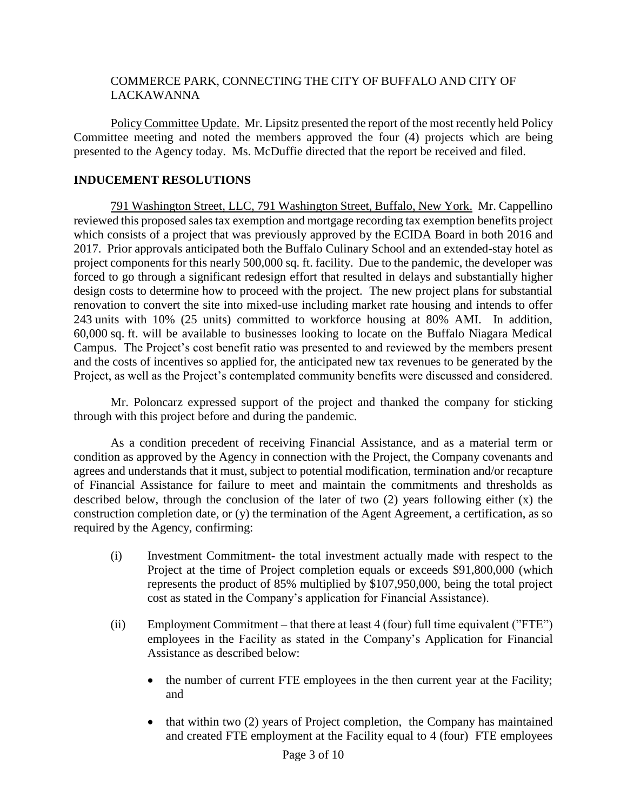## COMMERCE PARK, CONNECTING THE CITY OF BUFFALO AND CITY OF LACKAWANNA

Policy Committee Update. Mr. Lipsitz presented the report of the most recently held Policy Committee meeting and noted the members approved the four (4) projects which are being presented to the Agency today. Ms. McDuffie directed that the report be received and filed.

# **INDUCEMENT RESOLUTIONS**

791 Washington Street, LLC, 791 Washington Street, Buffalo, New York. Mr. Cappellino reviewed this proposed sales tax exemption and mortgage recording tax exemption benefits project which consists of a project that was previously approved by the ECIDA Board in both 2016 and 2017. Prior approvals anticipated both the Buffalo Culinary School and an extended-stay hotel as project components for this nearly 500,000 sq. ft. facility. Due to the pandemic, the developer was forced to go through a significant redesign effort that resulted in delays and substantially higher design costs to determine how to proceed with the project. The new project plans for substantial renovation to convert the site into mixed-use including market rate housing and intends to offer 243 units with 10% (25 units) committed to workforce housing at 80% AMI. In addition, 60,000 sq. ft. will be available to businesses looking to locate on the Buffalo Niagara Medical Campus. The Project's cost benefit ratio was presented to and reviewed by the members present and the costs of incentives so applied for, the anticipated new tax revenues to be generated by the Project, as well as the Project's contemplated community benefits were discussed and considered.

Mr. Poloncarz expressed support of the project and thanked the company for sticking through with this project before and during the pandemic.

As a condition precedent of receiving Financial Assistance, and as a material term or condition as approved by the Agency in connection with the Project, the Company covenants and agrees and understands that it must, subject to potential modification, termination and/or recapture of Financial Assistance for failure to meet and maintain the commitments and thresholds as described below, through the conclusion of the later of two (2) years following either (x) the construction completion date, or (y) the termination of the Agent Agreement, a certification, as so required by the Agency, confirming:

- (i) Investment Commitment- the total investment actually made with respect to the Project at the time of Project completion equals or exceeds \$91,800,000 (which represents the product of 85% multiplied by \$107,950,000, being the total project cost as stated in the Company's application for Financial Assistance).
- (ii) Employment Commitment that there at least 4 (four) full time equivalent ("FTE") employees in the Facility as stated in the Company's Application for Financial Assistance as described below:
	- the number of current FTE employees in the then current year at the Facility; and
	- that within two (2) years of Project completion, the Company has maintained and created FTE employment at the Facility equal to 4 (four) FTE employees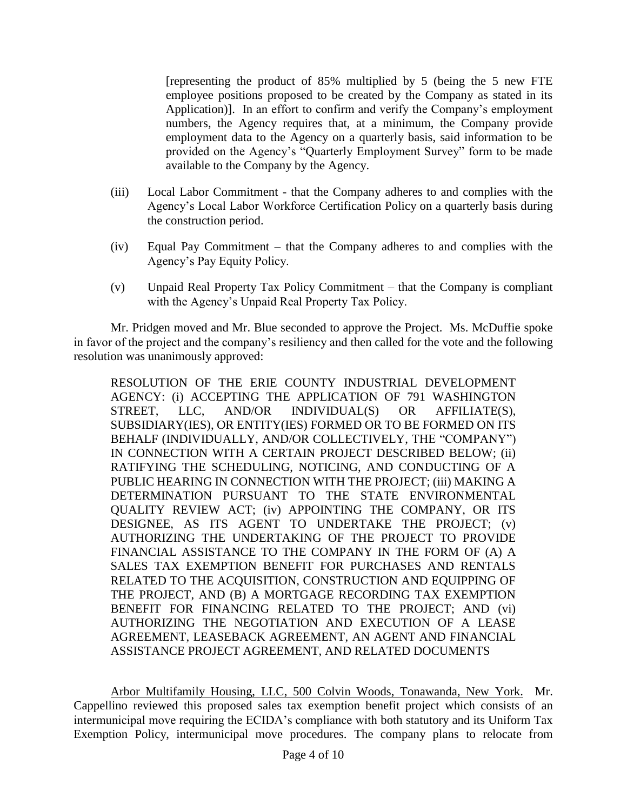[representing the product of 85% multiplied by 5 (being the 5 new FTE employee positions proposed to be created by the Company as stated in its Application)]. In an effort to confirm and verify the Company's employment numbers, the Agency requires that, at a minimum, the Company provide employment data to the Agency on a quarterly basis, said information to be provided on the Agency's "Quarterly Employment Survey" form to be made available to the Company by the Agency.

- (iii) Local Labor Commitment that the Company adheres to and complies with the Agency's Local Labor Workforce Certification Policy on a quarterly basis during the construction period.
- (iv) Equal Pay Commitment that the Company adheres to and complies with the Agency's Pay Equity Policy.
- (v) Unpaid Real Property Tax Policy Commitment that the Company is compliant with the Agency's Unpaid Real Property Tax Policy.

Mr. Pridgen moved and Mr. Blue seconded to approve the Project. Ms. McDuffie spoke in favor of the project and the company's resiliency and then called for the vote and the following resolution was unanimously approved:

RESOLUTION OF THE ERIE COUNTY INDUSTRIAL DEVELOPMENT AGENCY: (i) ACCEPTING THE APPLICATION OF 791 WASHINGTON STREET, LLC, AND/OR INDIVIDUAL(S) OR AFFILIATE(S), SUBSIDIARY(IES), OR ENTITY(IES) FORMED OR TO BE FORMED ON ITS BEHALF (INDIVIDUALLY, AND/OR COLLECTIVELY, THE "COMPANY") IN CONNECTION WITH A CERTAIN PROJECT DESCRIBED BELOW; (ii) RATIFYING THE SCHEDULING, NOTICING, AND CONDUCTING OF A PUBLIC HEARING IN CONNECTION WITH THE PROJECT; (iii) MAKING A DETERMINATION PURSUANT TO THE STATE ENVIRONMENTAL QUALITY REVIEW ACT; (iv) APPOINTING THE COMPANY, OR ITS DESIGNEE, AS ITS AGENT TO UNDERTAKE THE PROJECT; (v) AUTHORIZING THE UNDERTAKING OF THE PROJECT TO PROVIDE FINANCIAL ASSISTANCE TO THE COMPANY IN THE FORM OF (A) A SALES TAX EXEMPTION BENEFIT FOR PURCHASES AND RENTALS RELATED TO THE ACQUISITION, CONSTRUCTION AND EQUIPPING OF THE PROJECT, AND (B) A MORTGAGE RECORDING TAX EXEMPTION BENEFIT FOR FINANCING RELATED TO THE PROJECT; AND (vi) AUTHORIZING THE NEGOTIATION AND EXECUTION OF A LEASE AGREEMENT, LEASEBACK AGREEMENT, AN AGENT AND FINANCIAL ASSISTANCE PROJECT AGREEMENT, AND RELATED DOCUMENTS

Arbor Multifamily Housing, LLC, 500 Colvin Woods, Tonawanda, New York. Mr. Cappellino reviewed this proposed sales tax exemption benefit project which consists of an intermunicipal move requiring the ECIDA's compliance with both statutory and its Uniform Tax Exemption Policy, intermunicipal move procedures. The company plans to relocate from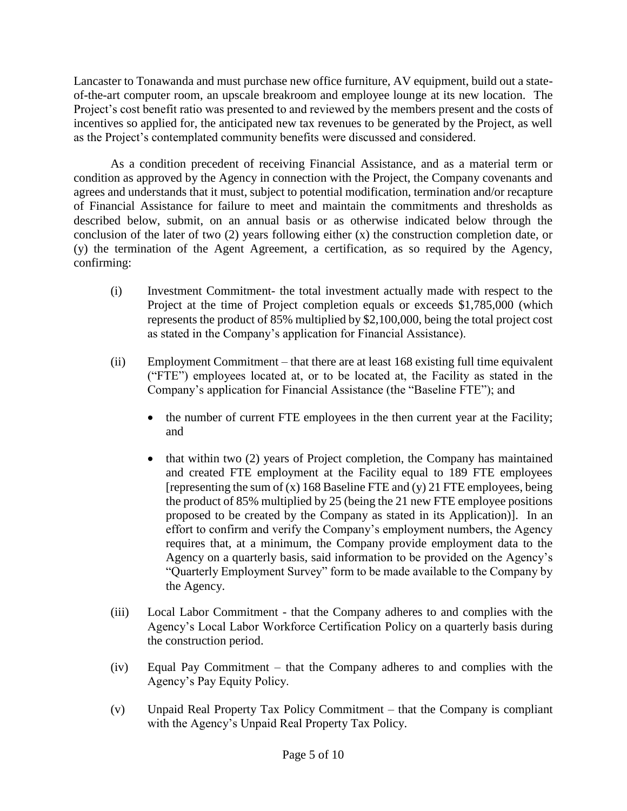Lancaster to Tonawanda and must purchase new office furniture, AV equipment, build out a stateof-the-art computer room, an upscale breakroom and employee lounge at its new location. The Project's cost benefit ratio was presented to and reviewed by the members present and the costs of incentives so applied for, the anticipated new tax revenues to be generated by the Project, as well as the Project's contemplated community benefits were discussed and considered.

As a condition precedent of receiving Financial Assistance, and as a material term or condition as approved by the Agency in connection with the Project, the Company covenants and agrees and understands that it must, subject to potential modification, termination and/or recapture of Financial Assistance for failure to meet and maintain the commitments and thresholds as described below, submit, on an annual basis or as otherwise indicated below through the conclusion of the later of two (2) years following either (x) the construction completion date, or (y) the termination of the Agent Agreement, a certification, as so required by the Agency, confirming:

- (i) Investment Commitment- the total investment actually made with respect to the Project at the time of Project completion equals or exceeds \$1,785,000 (which represents the product of 85% multiplied by \$2,100,000, being the total project cost as stated in the Company's application for Financial Assistance).
- (ii) Employment Commitment that there are at least 168 existing full time equivalent ("FTE") employees located at, or to be located at, the Facility as stated in the Company's application for Financial Assistance (the "Baseline FTE"); and
	- the number of current FTE employees in the then current year at the Facility; and
	- $\bullet$  that within two (2) years of Project completion, the Company has maintained and created FTE employment at the Facility equal to 189 FTE employees [representing the sum of  $(x)$  168 Baseline FTE and  $(y)$  21 FTE employees, being the product of 85% multiplied by 25 (being the 21 new FTE employee positions proposed to be created by the Company as stated in its Application)]. In an effort to confirm and verify the Company's employment numbers, the Agency requires that, at a minimum, the Company provide employment data to the Agency on a quarterly basis, said information to be provided on the Agency's "Quarterly Employment Survey" form to be made available to the Company by the Agency.
- (iii) Local Labor Commitment that the Company adheres to and complies with the Agency's Local Labor Workforce Certification Policy on a quarterly basis during the construction period.
- (iv) Equal Pay Commitment that the Company adheres to and complies with the Agency's Pay Equity Policy.
- (v) Unpaid Real Property Tax Policy Commitment that the Company is compliant with the Agency's Unpaid Real Property Tax Policy.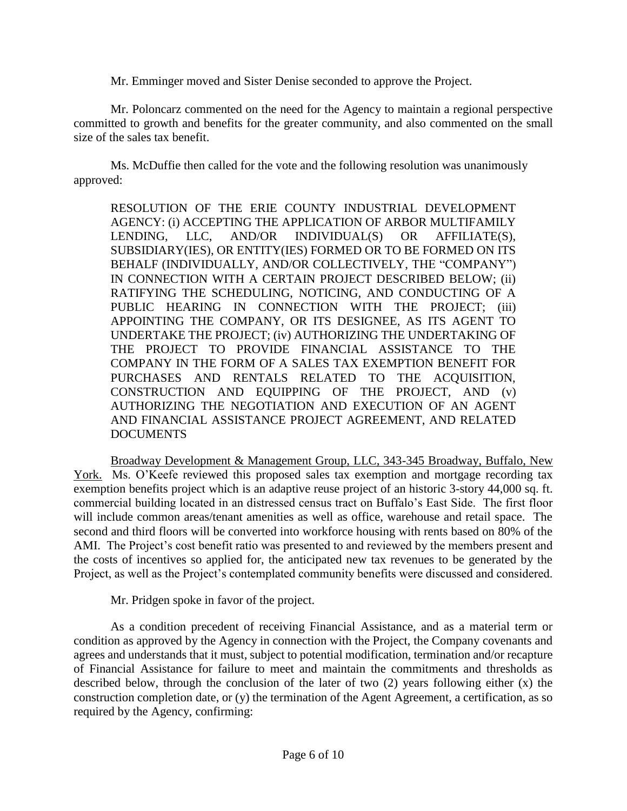Mr. Emminger moved and Sister Denise seconded to approve the Project.

Mr. Poloncarz commented on the need for the Agency to maintain a regional perspective committed to growth and benefits for the greater community, and also commented on the small size of the sales tax benefit.

Ms. McDuffie then called for the vote and the following resolution was unanimously approved:

RESOLUTION OF THE ERIE COUNTY INDUSTRIAL DEVELOPMENT AGENCY: (i) ACCEPTING THE APPLICATION OF ARBOR MULTIFAMILY LENDING, LLC, AND/OR INDIVIDUAL(S) OR AFFILIATE(S), SUBSIDIARY(IES), OR ENTITY(IES) FORMED OR TO BE FORMED ON ITS BEHALF (INDIVIDUALLY, AND/OR COLLECTIVELY, THE "COMPANY") IN CONNECTION WITH A CERTAIN PROJECT DESCRIBED BELOW; (ii) RATIFYING THE SCHEDULING, NOTICING, AND CONDUCTING OF A PUBLIC HEARING IN CONNECTION WITH THE PROJECT; (iii) APPOINTING THE COMPANY, OR ITS DESIGNEE, AS ITS AGENT TO UNDERTAKE THE PROJECT; (iv) AUTHORIZING THE UNDERTAKING OF THE PROJECT TO PROVIDE FINANCIAL ASSISTANCE TO THE COMPANY IN THE FORM OF A SALES TAX EXEMPTION BENEFIT FOR PURCHASES AND RENTALS RELATED TO THE ACQUISITION, CONSTRUCTION AND EQUIPPING OF THE PROJECT, AND (v) AUTHORIZING THE NEGOTIATION AND EXECUTION OF AN AGENT AND FINANCIAL ASSISTANCE PROJECT AGREEMENT, AND RELATED **DOCUMENTS** 

Broadway Development & Management Group, LLC, 343-345 Broadway, Buffalo, New York. Ms. O'Keefe reviewed this proposed sales tax exemption and mortgage recording tax exemption benefits project which is an adaptive reuse project of an historic 3-story 44,000 sq. ft. commercial building located in an distressed census tract on Buffalo's East Side. The first floor will include common areas/tenant amenities as well as office, warehouse and retail space. The second and third floors will be converted into workforce housing with rents based on 80% of the AMI. The Project's cost benefit ratio was presented to and reviewed by the members present and the costs of incentives so applied for, the anticipated new tax revenues to be generated by the Project, as well as the Project's contemplated community benefits were discussed and considered.

Mr. Pridgen spoke in favor of the project.

As a condition precedent of receiving Financial Assistance, and as a material term or condition as approved by the Agency in connection with the Project, the Company covenants and agrees and understands that it must, subject to potential modification, termination and/or recapture of Financial Assistance for failure to meet and maintain the commitments and thresholds as described below, through the conclusion of the later of two (2) years following either (x) the construction completion date, or (y) the termination of the Agent Agreement, a certification, as so required by the Agency, confirming: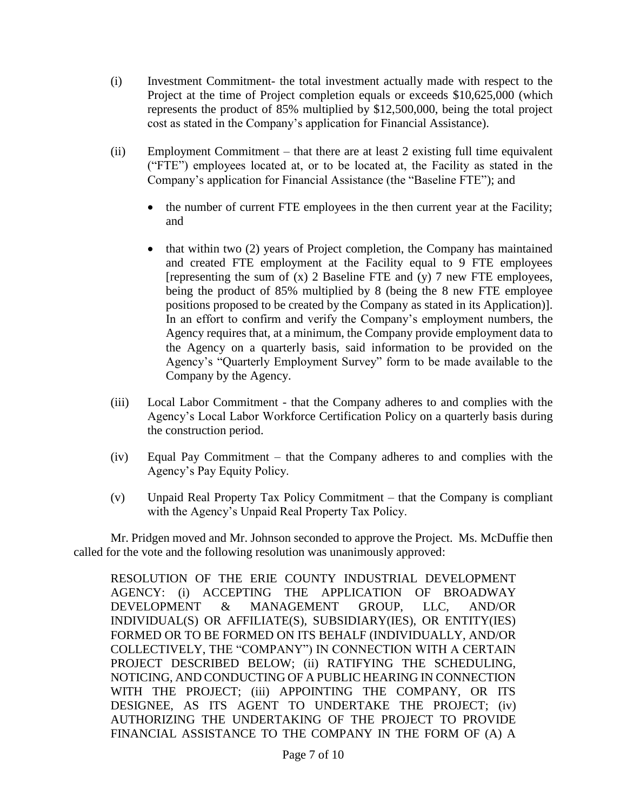- (i) Investment Commitment- the total investment actually made with respect to the Project at the time of Project completion equals or exceeds \$10,625,000 (which represents the product of 85% multiplied by \$12,500,000, being the total project cost as stated in the Company's application for Financial Assistance).
- (ii) Employment Commitment that there are at least 2 existing full time equivalent ("FTE") employees located at, or to be located at, the Facility as stated in the Company's application for Financial Assistance (the "Baseline FTE"); and
	- the number of current FTE employees in the then current year at the Facility; and
	- that within two (2) years of Project completion, the Company has maintained and created FTE employment at the Facility equal to 9 FTE employees [representing the sum of  $(x)$  2 Baseline FTE and  $(y)$  7 new FTE employees, being the product of 85% multiplied by 8 (being the 8 new FTE employee positions proposed to be created by the Company as stated in its Application)]. In an effort to confirm and verify the Company's employment numbers, the Agency requires that, at a minimum, the Company provide employment data to the Agency on a quarterly basis, said information to be provided on the Agency's "Quarterly Employment Survey" form to be made available to the Company by the Agency.
- (iii) Local Labor Commitment that the Company adheres to and complies with the Agency's Local Labor Workforce Certification Policy on a quarterly basis during the construction period.
- (iv) Equal Pay Commitment that the Company adheres to and complies with the Agency's Pay Equity Policy.
- (v) Unpaid Real Property Tax Policy Commitment that the Company is compliant with the Agency's Unpaid Real Property Tax Policy.

Mr. Pridgen moved and Mr. Johnson seconded to approve the Project. Ms. McDuffie then called for the vote and the following resolution was unanimously approved:

RESOLUTION OF THE ERIE COUNTY INDUSTRIAL DEVELOPMENT AGENCY: (i) ACCEPTING THE APPLICATION OF BROADWAY DEVELOPMENT & MANAGEMENT GROUP, LLC, AND/OR INDIVIDUAL(S) OR AFFILIATE(S), SUBSIDIARY(IES), OR ENTITY(IES) FORMED OR TO BE FORMED ON ITS BEHALF (INDIVIDUALLY, AND/OR COLLECTIVELY, THE "COMPANY") IN CONNECTION WITH A CERTAIN PROJECT DESCRIBED BELOW; (ii) RATIFYING THE SCHEDULING, NOTICING, AND CONDUCTING OF A PUBLIC HEARING IN CONNECTION WITH THE PROJECT; (iii) APPOINTING THE COMPANY, OR ITS DESIGNEE, AS ITS AGENT TO UNDERTAKE THE PROJECT; (iv) AUTHORIZING THE UNDERTAKING OF THE PROJECT TO PROVIDE FINANCIAL ASSISTANCE TO THE COMPANY IN THE FORM OF (A) A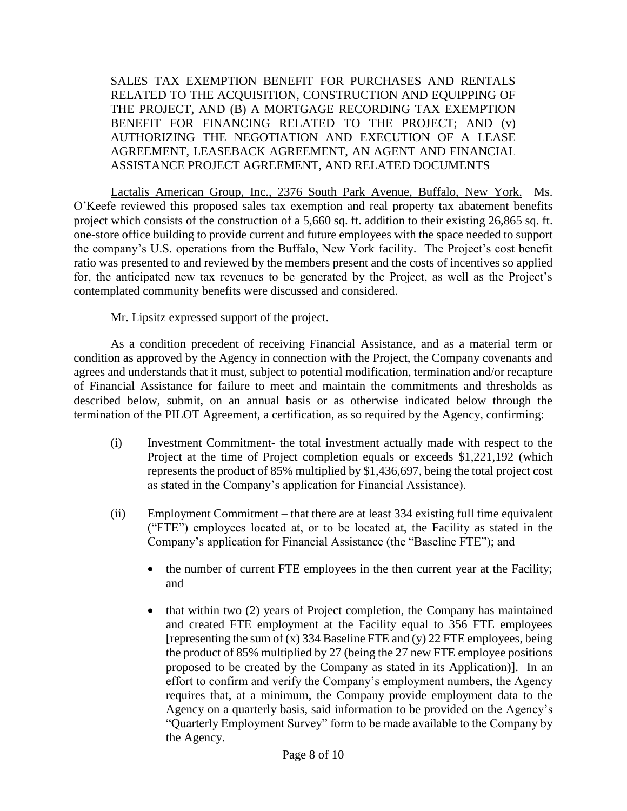SALES TAX EXEMPTION BENEFIT FOR PURCHASES AND RENTALS RELATED TO THE ACQUISITION, CONSTRUCTION AND EQUIPPING OF THE PROJECT, AND (B) A MORTGAGE RECORDING TAX EXEMPTION BENEFIT FOR FINANCING RELATED TO THE PROJECT; AND (v) AUTHORIZING THE NEGOTIATION AND EXECUTION OF A LEASE AGREEMENT, LEASEBACK AGREEMENT, AN AGENT AND FINANCIAL ASSISTANCE PROJECT AGREEMENT, AND RELATED DOCUMENTS

Lactalis American Group, Inc., 2376 South Park Avenue, Buffalo, New York. Ms. O'Keefe reviewed this proposed sales tax exemption and real property tax abatement benefits project which consists of the construction of a 5,660 sq. ft. addition to their existing 26,865 sq. ft. one-store office building to provide current and future employees with the space needed to support the company's U.S. operations from the Buffalo, New York facility. The Project's cost benefit ratio was presented to and reviewed by the members present and the costs of incentives so applied for, the anticipated new tax revenues to be generated by the Project, as well as the Project's contemplated community benefits were discussed and considered.

Mr. Lipsitz expressed support of the project.

As a condition precedent of receiving Financial Assistance, and as a material term or condition as approved by the Agency in connection with the Project, the Company covenants and agrees and understands that it must, subject to potential modification, termination and/or recapture of Financial Assistance for failure to meet and maintain the commitments and thresholds as described below, submit, on an annual basis or as otherwise indicated below through the termination of the PILOT Agreement, a certification, as so required by the Agency, confirming:

- (i) Investment Commitment- the total investment actually made with respect to the Project at the time of Project completion equals or exceeds \$1,221,192 (which represents the product of 85% multiplied by \$1,436,697, being the total project cost as stated in the Company's application for Financial Assistance).
- (ii) Employment Commitment that there are at least 334 existing full time equivalent ("FTE") employees located at, or to be located at, the Facility as stated in the Company's application for Financial Assistance (the "Baseline FTE"); and
	- the number of current FTE employees in the then current year at the Facility; and
	- that within two (2) years of Project completion, the Company has maintained and created FTE employment at the Facility equal to 356 FTE employees [representing the sum of (x) 334 Baseline FTE and (y) 22 FTE employees, being the product of 85% multiplied by 27 (being the 27 new FTE employee positions proposed to be created by the Company as stated in its Application)]. In an effort to confirm and verify the Company's employment numbers, the Agency requires that, at a minimum, the Company provide employment data to the Agency on a quarterly basis, said information to be provided on the Agency's "Quarterly Employment Survey" form to be made available to the Company by the Agency.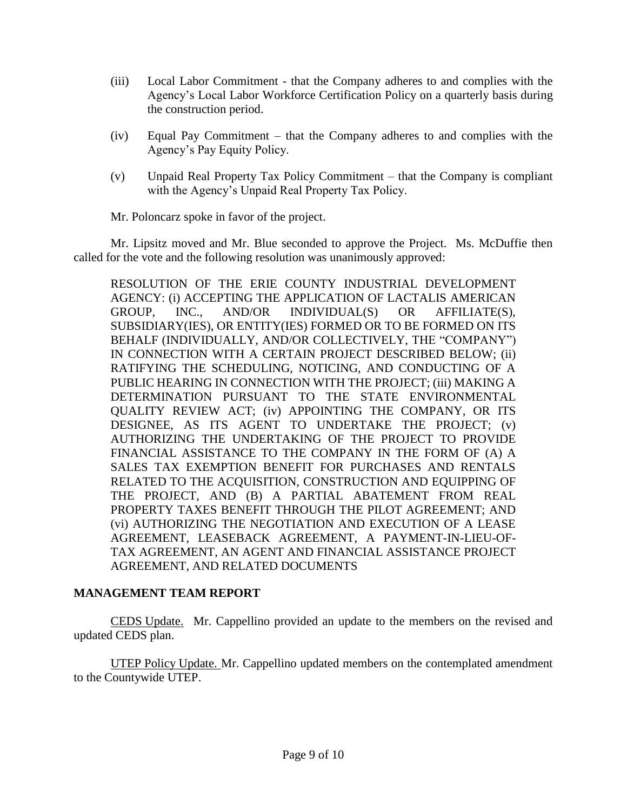- (iii) Local Labor Commitment that the Company adheres to and complies with the Agency's Local Labor Workforce Certification Policy on a quarterly basis during the construction period.
- (iv) Equal Pay Commitment that the Company adheres to and complies with the Agency's Pay Equity Policy.
- (v) Unpaid Real Property Tax Policy Commitment that the Company is compliant with the Agency's Unpaid Real Property Tax Policy.

Mr. Poloncarz spoke in favor of the project.

Mr. Lipsitz moved and Mr. Blue seconded to approve the Project. Ms. McDuffie then called for the vote and the following resolution was unanimously approved:

RESOLUTION OF THE ERIE COUNTY INDUSTRIAL DEVELOPMENT AGENCY: (i) ACCEPTING THE APPLICATION OF LACTALIS AMERICAN GROUP, INC., AND/OR INDIVIDUAL(S) OR AFFILIATE(S), SUBSIDIARY(IES), OR ENTITY(IES) FORMED OR TO BE FORMED ON ITS BEHALF (INDIVIDUALLY, AND/OR COLLECTIVELY, THE "COMPANY") IN CONNECTION WITH A CERTAIN PROJECT DESCRIBED BELOW; (ii) RATIFYING THE SCHEDULING, NOTICING, AND CONDUCTING OF A PUBLIC HEARING IN CONNECTION WITH THE PROJECT; (iii) MAKING A DETERMINATION PURSUANT TO THE STATE ENVIRONMENTAL QUALITY REVIEW ACT; (iv) APPOINTING THE COMPANY, OR ITS DESIGNEE, AS ITS AGENT TO UNDERTAKE THE PROJECT; (v) AUTHORIZING THE UNDERTAKING OF THE PROJECT TO PROVIDE FINANCIAL ASSISTANCE TO THE COMPANY IN THE FORM OF (A) A SALES TAX EXEMPTION BENEFIT FOR PURCHASES AND RENTALS RELATED TO THE ACQUISITION, CONSTRUCTION AND EQUIPPING OF THE PROJECT, AND (B) A PARTIAL ABATEMENT FROM REAL PROPERTY TAXES BENEFIT THROUGH THE PILOT AGREEMENT; AND (vi) AUTHORIZING THE NEGOTIATION AND EXECUTION OF A LEASE AGREEMENT, LEASEBACK AGREEMENT, A PAYMENT-IN-LIEU-OF-TAX AGREEMENT, AN AGENT AND FINANCIAL ASSISTANCE PROJECT AGREEMENT, AND RELATED DOCUMENTS

## **MANAGEMENT TEAM REPORT**

CEDS Update. Mr. Cappellino provided an update to the members on the revised and updated CEDS plan.

UTEP Policy Update. Mr. Cappellino updated members on the contemplated amendment to the Countywide UTEP.